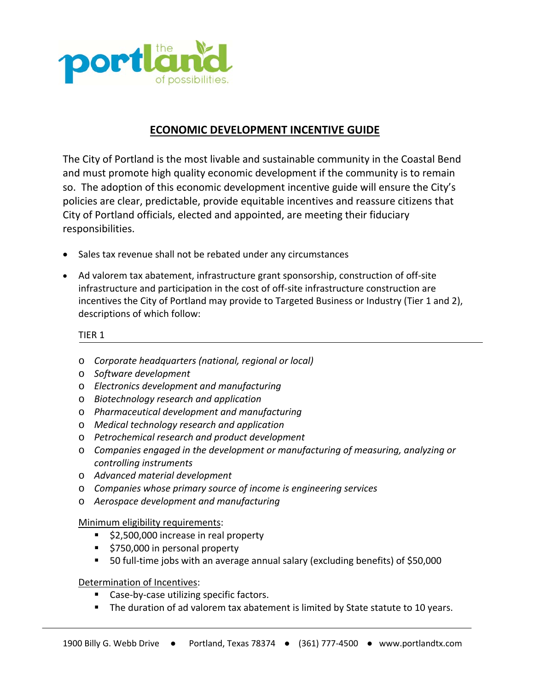

## **ECONOMIC DEVELOPMENT INCENTIVE GUIDE**

The City of Portland is the most livable and sustainable community in the Coastal Bend and must promote high quality economic development if the community is to remain so. The adoption of this economic development incentive guide will ensure the City's policies are clear, predictable, provide equitable incentives and reassure citizens that City of Portland officials, elected and appointed, are meeting their fiduciary responsibilities.

- Sales tax revenue shall not be rebated under any circumstances
- Ad valorem tax abatement, infrastructure grant sponsorship, construction of off‐site infrastructure and participation in the cost of off-site infrastructure construction are incentives the City of Portland may provide to Targeted Business or Industry (Tier 1 and 2), descriptions of which follow:

## TIER 1

- o *Corporate headquarters (national, regional or local)*
- o *Software development*
- o *Electronics development and manufacturing*
- o *Biotechnology research and application*
- o *Pharmaceutical development and manufacturing*
- o *Medical technology research and application*
- o *Petrochemical research and product development*
- o *Companies engaged in the development or manufacturing of measuring, analyzing or controlling instruments*
- o *Advanced material development*
- o *Companies whose primary source of income is engineering services*
- o *Aerospace development and manufacturing*

## Minimum eligibility requirements:

- \$2,500,000 increase in real property
- **5750,000 in personal property**
- 50 full-time jobs with an average annual salary (excluding benefits) of \$50,000

## Determination of Incentives:

- Case-by-case utilizing specific factors.
- The duration of ad valorem tax abatement is limited by State statute to 10 years.